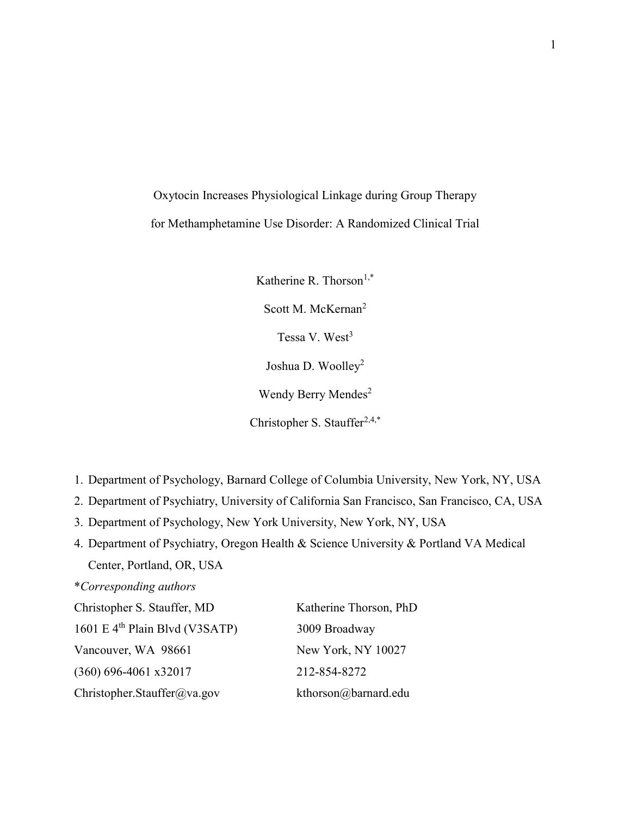Oxytocin Increases Physiological Linkage during Group Therapy for Methamphetamine Use Disorder: A Randomized Clinical Trial

> Katherine R. Thorson<sup>1,\*</sup> Scott M. McKernan<sup>2</sup> Tessa V. West<sup>3</sup> Joshua D. Woolley<sup>2</sup> Wendy Berry Mendes<sup>2</sup> Christopher S. Stauffer $2,4,*$

- 1. Department of Psychology, Barnard College of Columbia University, New York, NY, USA
- 2. Department of Psychiatry, University of California San Francisco, San Francisco, CA, USA
- 3. Department of Psychology, New York University, New York, NY, USA
- 4. Department of Psychiatry, Oregon Health & Science University & Portland VA Medical Center, Portland, OR, USA

# \*Corresponding authors

| Christopher S. Stauffer, MD      | Katherine Thorson, PhD |
|----------------------------------|------------------------|
| 1601 E $4th$ Plain Blvd (V3SATP) | 3009 Broadway          |
| Vancouver, WA 98661              | New York, NY 10027     |
| $(360)$ 696-4061 x32017          | 212-854-8272           |
| Christopher.Stauffer@va.gov      | kthorson@barnard.edu   |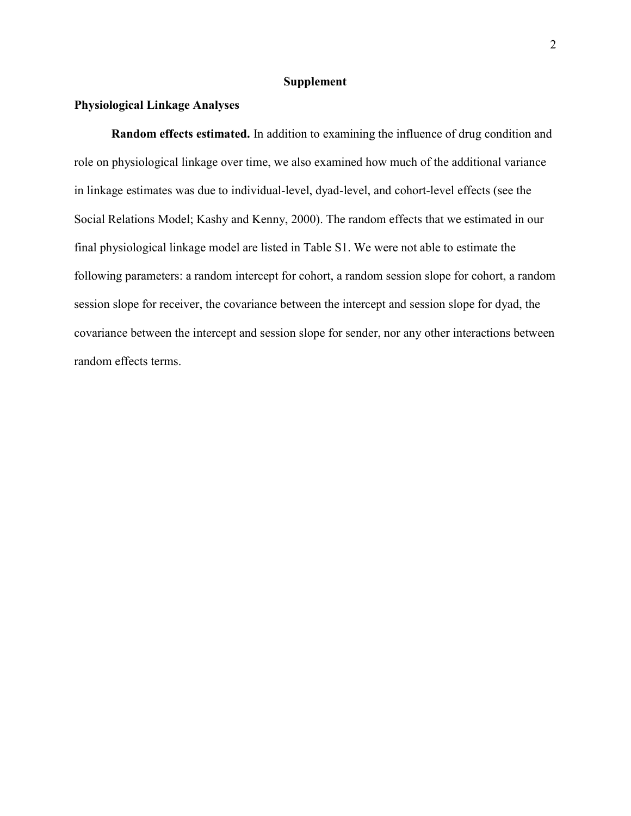## Supplement

### Physiological Linkage Analyses

Random effects estimated. In addition to examining the influence of drug condition and role on physiological linkage over time, we also examined how much of the additional variance in linkage estimates was due to individual-level, dyad-level, and cohort-level effects (see the Social Relations Model; Kashy and Kenny, 2000). The random effects that we estimated in our final physiological linkage model are listed in Table S1. We were not able to estimate the following parameters: a random intercept for cohort, a random session slope for cohort, a random session slope for receiver, the covariance between the intercept and session slope for dyad, the covariance between the intercept and session slope for sender, nor any other interactions between random effects terms.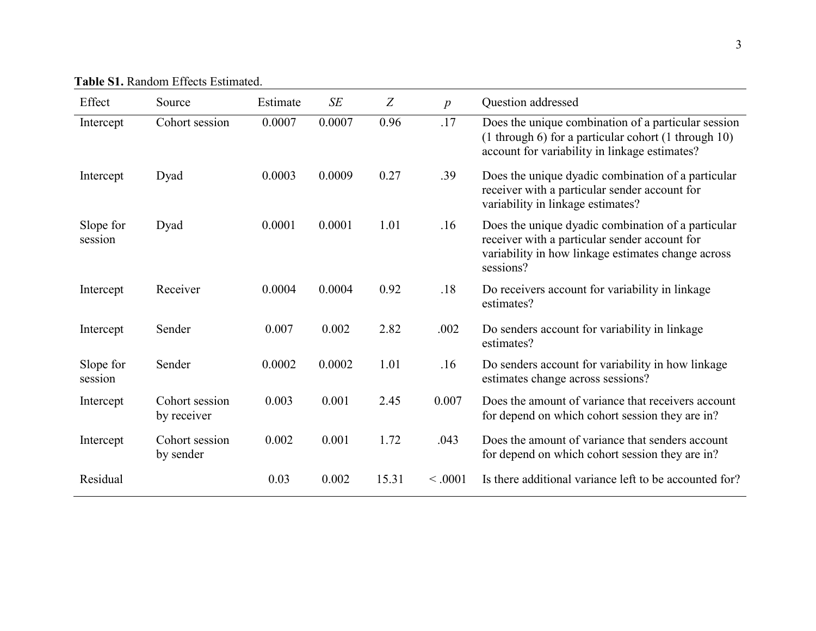| <b>Table S1. Random Effects Estimated.</b> |  |  |
|--------------------------------------------|--|--|

| Effect               | Source                        | Estimate | SE     | Z     | $\boldsymbol{p}$ | Question addressed                                                                                                                                                     |
|----------------------|-------------------------------|----------|--------|-------|------------------|------------------------------------------------------------------------------------------------------------------------------------------------------------------------|
| Intercept            | Cohort session                | 0.0007   | 0.0007 | 0.96  | .17              | Does the unique combination of a particular session<br>(1 through 6) for a particular cohort (1 through 10)<br>account for variability in linkage estimates?           |
| Intercept            | Dyad                          | 0.0003   | 0.0009 | 0.27  | .39              | Does the unique dyadic combination of a particular<br>receiver with a particular sender account for<br>variability in linkage estimates?                               |
| Slope for<br>session | Dyad                          | 0.0001   | 0.0001 | 1.01  | .16              | Does the unique dyadic combination of a particular<br>receiver with a particular sender account for<br>variability in how linkage estimates change across<br>sessions? |
| Intercept            | Receiver                      | 0.0004   | 0.0004 | 0.92  | .18              | Do receivers account for variability in linkage<br>estimates?                                                                                                          |
| Intercept            | Sender                        | 0.007    | 0.002  | 2.82  | .002             | Do senders account for variability in linkage<br>estimates?                                                                                                            |
| Slope for<br>session | Sender                        | 0.0002   | 0.0002 | 1.01  | .16              | Do senders account for variability in how linkage<br>estimates change across sessions?                                                                                 |
| Intercept            | Cohort session<br>by receiver | 0.003    | 0.001  | 2.45  | 0.007            | Does the amount of variance that receivers account<br>for depend on which cohort session they are in?                                                                  |
| Intercept            | Cohort session<br>by sender   | 0.002    | 0.001  | 1.72  | .043             | Does the amount of variance that senders account<br>for depend on which cohort session they are in?                                                                    |
| Residual             |                               | 0.03     | 0.002  | 15.31 | < .0001          | Is there additional variance left to be accounted for?                                                                                                                 |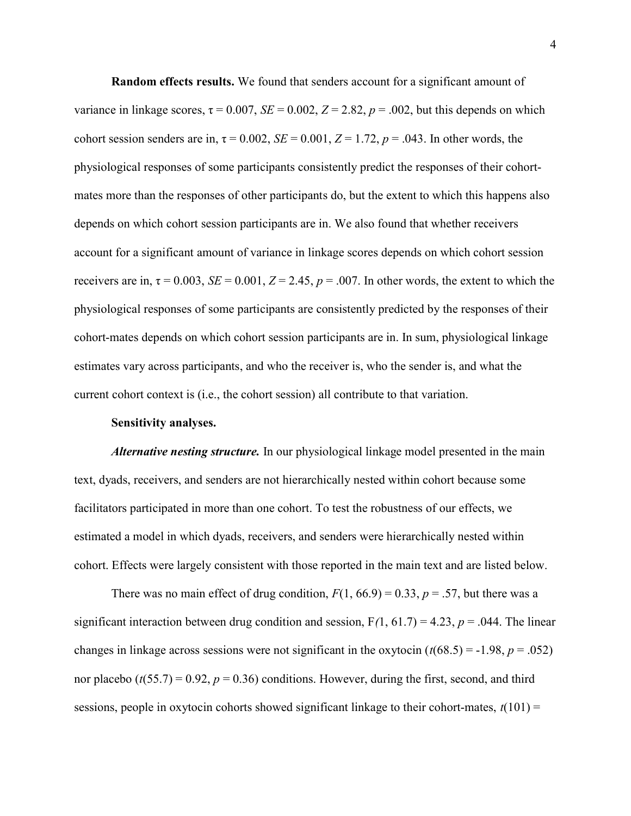Random effects results. We found that senders account for a significant amount of variance in linkage scores,  $\tau = 0.007$ ,  $SE = 0.002$ ,  $Z = 2.82$ ,  $p = .002$ , but this depends on which cohort session senders are in,  $\tau = 0.002$ ,  $SE = 0.001$ ,  $Z = 1.72$ ,  $p = .043$ . In other words, the physiological responses of some participants consistently predict the responses of their cohortmates more than the responses of other participants do, but the extent to which this happens also depends on which cohort session participants are in. We also found that whether receivers account for a significant amount of variance in linkage scores depends on which cohort session receivers are in,  $\tau = 0.003$ ,  $SE = 0.001$ ,  $Z = 2.45$ ,  $p = .007$ . In other words, the extent to which the physiological responses of some participants are consistently predicted by the responses of their cohort-mates depends on which cohort session participants are in. In sum, physiological linkage estimates vary across participants, and who the receiver is, who the sender is, and what the current cohort context is (i.e., the cohort session) all contribute to that variation.

#### Sensitivity analyses.

Alternative nesting structure. In our physiological linkage model presented in the main text, dyads, receivers, and senders are not hierarchically nested within cohort because some facilitators participated in more than one cohort. To test the robustness of our effects, we estimated a model in which dyads, receivers, and senders were hierarchically nested within cohort. Effects were largely consistent with those reported in the main text and are listed below.

There was no main effect of drug condition,  $F(1, 66.9) = 0.33$ ,  $p = .57$ , but there was a significant interaction between drug condition and session,  $F(1, 61.7) = 4.23$ ,  $p = .044$ . The linear changes in linkage across sessions were not significant in the oxytocin  $(t(68.5) = -1.98, p = .052)$ nor placebo ( $t(55.7) = 0.92$ ,  $p = 0.36$ ) conditions. However, during the first, second, and third sessions, people in oxytocin cohorts showed significant linkage to their cohort-mates,  $t(101)$  =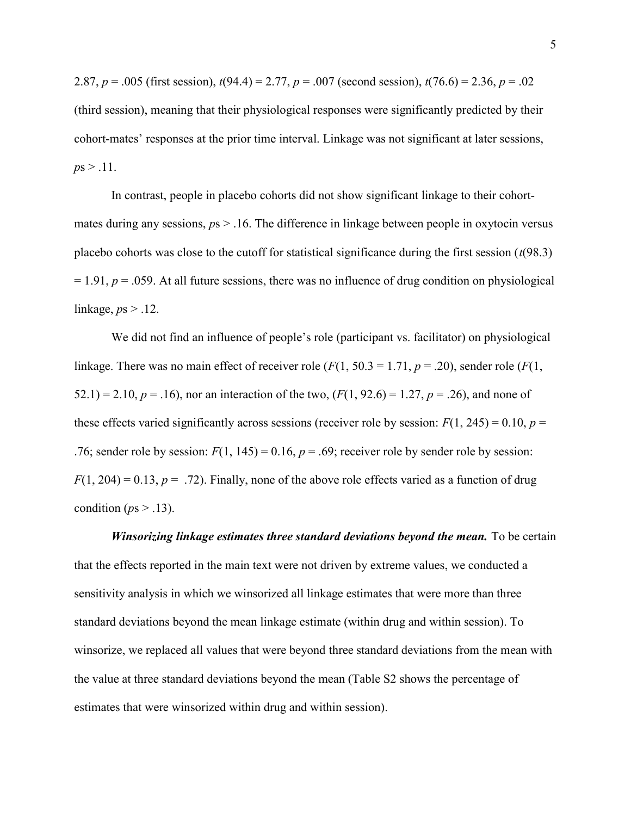2.87,  $p = .005$  (first session),  $t(94.4) = 2.77$ ,  $p = .007$  (second session),  $t(76.6) = 2.36$ ,  $p = .02$ (third session), meaning that their physiological responses were significantly predicted by their cohort-mates' responses at the prior time interval. Linkage was not significant at later sessions,  $ps > .11$ .

In contrast, people in placebo cohorts did not show significant linkage to their cohortmates during any sessions,  $ps > 0.16$ . The difference in linkage between people in oxytocin versus placebo cohorts was close to the cutoff for statistical significance during the first session  $(t(98.3))$  $= 1.91, p = .059$ . At all future sessions, there was no influence of drug condition on physiological linkage,  $ps > .12$ .

We did not find an influence of people's role (participant vs. facilitator) on physiological linkage. There was no main effect of receiver role ( $F(1, 50.3 = 1.71, p = .20)$ ), sender role ( $F(1, 50.3 = 1.71, p = .20)$ ) 52.1) = 2.10,  $p = .16$ ), nor an interaction of the two,  $(F(1, 92.6) = 1.27, p = .26)$ , and none of these effects varied significantly across sessions (receiver role by session:  $F(1, 245) = 0.10$ ,  $p =$ .76; sender role by session:  $F(1, 145) = 0.16$ ,  $p = .69$ ; receiver role by sender role by session:  $F(1, 204) = 0.13$ ,  $p = .72$ ). Finally, none of the above role effects varied as a function of drug condition ( $ps > .13$ ).

Winsorizing linkage estimates three standard deviations beyond the mean. To be certain that the effects reported in the main text were not driven by extreme values, we conducted a sensitivity analysis in which we winsorized all linkage estimates that were more than three standard deviations beyond the mean linkage estimate (within drug and within session). To winsorize, we replaced all values that were beyond three standard deviations from the mean with the value at three standard deviations beyond the mean (Table S2 shows the percentage of estimates that were winsorized within drug and within session).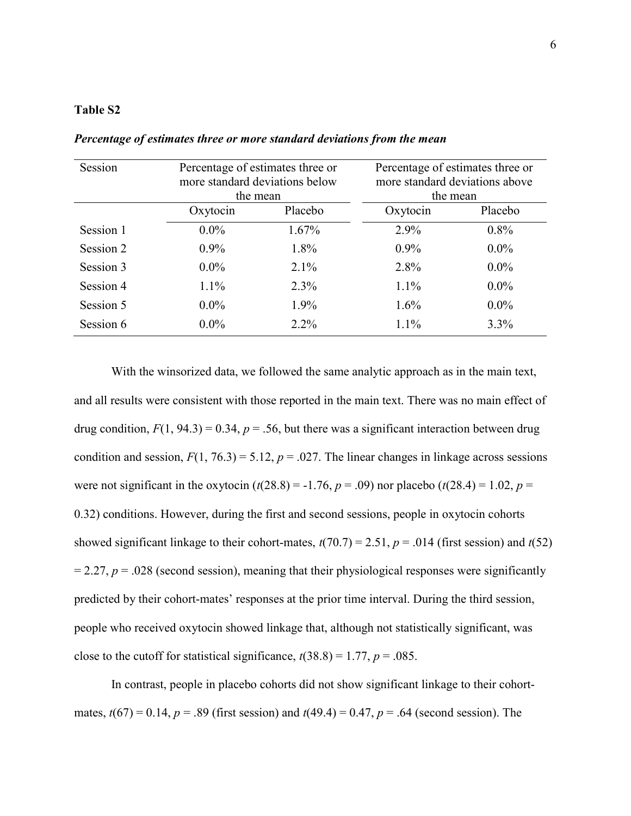### Table S2

| Session   | Percentage of estimates three or<br>more standard deviations below<br>the mean |         | Percentage of estimates three or<br>more standard deviations above<br>the mean |         |  |
|-----------|--------------------------------------------------------------------------------|---------|--------------------------------------------------------------------------------|---------|--|
|           | Oxytocin                                                                       | Placebo | Oxytocin                                                                       | Placebo |  |
| Session 1 | $0.0\%$                                                                        | 1.67%   | $2.9\%$                                                                        | $0.8\%$ |  |
| Session 2 | $0.9\%$                                                                        | $1.8\%$ | $0.9\%$                                                                        | $0.0\%$ |  |
| Session 3 | $0.0\%$                                                                        | $2.1\%$ | $2.8\%$                                                                        | $0.0\%$ |  |
| Session 4 | $1.1\%$                                                                        | 2.3%    | $1.1\%$                                                                        | $0.0\%$ |  |
| Session 5 | $0.0\%$                                                                        | 1.9%    | $1.6\%$                                                                        | $0.0\%$ |  |
| Session 6 | $0.0\%$                                                                        | $2.2\%$ | $1.1\%$                                                                        | 3.3%    |  |

Percentage of estimates three or more standard deviations from the mean

With the winsorized data, we followed the same analytic approach as in the main text, and all results were consistent with those reported in the main text. There was no main effect of drug condition,  $F(1, 94.3) = 0.34$ ,  $p = .56$ , but there was a significant interaction between drug condition and session,  $F(1, 76.3) = 5.12$ ,  $p = .027$ . The linear changes in linkage across sessions were not significant in the oxytocin  $(t(28.8) = -1.76, p = .09)$  nor placebo  $(t(28.4) = 1.02, p =$ 0.32) conditions. However, during the first and second sessions, people in oxytocin cohorts showed significant linkage to their cohort-mates,  $t(70.7) = 2.51$ ,  $p = .014$  (first session) and  $t(52)$  $= 2.27, p = .028$  (second session), meaning that their physiological responses were significantly predicted by their cohort-mates' responses at the prior time interval. During the third session, people who received oxytocin showed linkage that, although not statistically significant, was close to the cutoff for statistical significance,  $t(38.8) = 1.77$ ,  $p = .085$ .

In contrast, people in placebo cohorts did not show significant linkage to their cohortmates,  $t(67) = 0.14$ ,  $p = .89$  (first session) and  $t(49.4) = 0.47$ ,  $p = .64$  (second session). The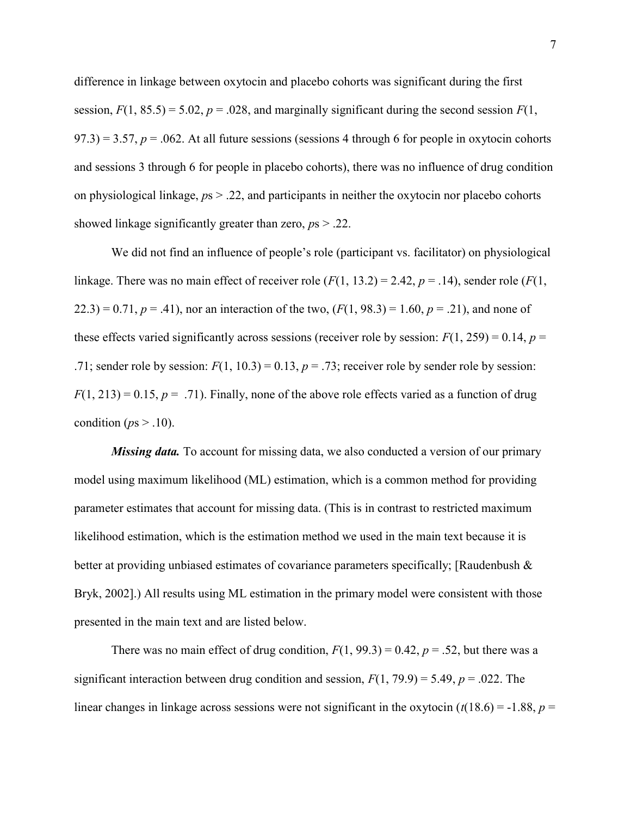difference in linkage between oxytocin and placebo cohorts was significant during the first session,  $F(1, 85.5) = 5.02$ ,  $p = .028$ , and marginally significant during the second session  $F(1, 1)$  $(97.3) = 3.57$ ,  $p = .062$ . At all future sessions (sessions 4 through 6 for people in oxytocin cohorts and sessions 3 through 6 for people in placebo cohorts), there was no influence of drug condition on physiological linkage,  $ps > 0.22$ , and participants in neither the oxytocin nor placebo cohorts showed linkage significantly greater than zero,  $ps > .22$ .

We did not find an influence of people's role (participant vs. facilitator) on physiological linkage. There was no main effect of receiver role  $(F(1, 13.2) = 2.42, p = .14)$ , sender role  $(F(1, 13.2) = 2.42, p = .14)$  $(22.3) = 0.71, p = .41$ , nor an interaction of the two,  $(F(1, 98.3) = 1.60, p = .21)$ , and none of these effects varied significantly across sessions (receiver role by session:  $F(1, 259) = 0.14$ ,  $p =$ .71; sender role by session:  $F(1, 10.3) = 0.13$ ,  $p = .73$ ; receiver role by sender role by session:  $F(1, 213) = 0.15$ ,  $p = .71$ ). Finally, none of the above role effects varied as a function of drug condition ( $ps > .10$ ).

*Missing data*. To account for missing data, we also conducted a version of our primary model using maximum likelihood (ML) estimation, which is a common method for providing parameter estimates that account for missing data. (This is in contrast to restricted maximum likelihood estimation, which is the estimation method we used in the main text because it is better at providing unbiased estimates of covariance parameters specifically; [Raudenbush & Bryk, 2002].) All results using ML estimation in the primary model were consistent with those presented in the main text and are listed below.

There was no main effect of drug condition,  $F(1, 99.3) = 0.42$ ,  $p = .52$ , but there was a significant interaction between drug condition and session,  $F(1, 79.9) = 5.49$ ,  $p = .022$ . The linear changes in linkage across sessions were not significant in the oxytocin  $(t(18.6) = -1.88, p =$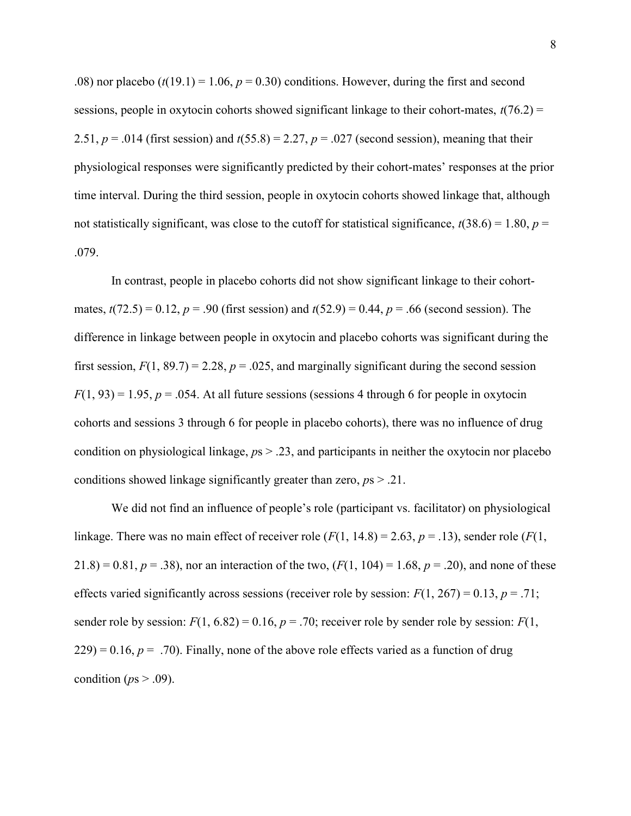.08) nor placebo  $(t(19.1) = 1.06, p = 0.30)$  conditions. However, during the first and second sessions, people in oxytocin cohorts showed significant linkage to their cohort-mates,  $t(76.2) =$ 2.51,  $p = .014$  (first session) and  $t(55.8) = 2.27$ ,  $p = .027$  (second session), meaning that their physiological responses were significantly predicted by their cohort-mates' responses at the prior time interval. During the third session, people in oxytocin cohorts showed linkage that, although not statistically significant, was close to the cutoff for statistical significance,  $t(38.6) = 1.80$ ,  $p =$ .079.

In contrast, people in placebo cohorts did not show significant linkage to their cohortmates,  $t(72.5) = 0.12$ ,  $p = .90$  (first session) and  $t(52.9) = 0.44$ ,  $p = .66$  (second session). The difference in linkage between people in oxytocin and placebo cohorts was significant during the first session,  $F(1, 89.7) = 2.28$ ,  $p = .025$ , and marginally significant during the second session  $F(1, 93) = 1.95$ ,  $p = .054$ . At all future sessions (sessions 4 through 6 for people in oxytocin cohorts and sessions 3 through 6 for people in placebo cohorts), there was no influence of drug condition on physiological linkage,  $ps > .23$ , and participants in neither the oxytocin nor placebo conditions showed linkage significantly greater than zero,  $ps > .21$ .

We did not find an influence of people's role (participant vs. facilitator) on physiological linkage. There was no main effect of receiver role ( $F(1, 14.8) = 2.63$ ,  $p = .13$ ), sender role ( $F(1, 14.8) = 2.63$ )  $21.8 = 0.81, p = .38$ , nor an interaction of the two,  $(F(1, 104) = 1.68, p = .20)$ , and none of these effects varied significantly across sessions (receiver role by session:  $F(1, 267) = 0.13$ ,  $p = .71$ ; sender role by session:  $F(1, 6.82) = 0.16$ ,  $p = .70$ ; receiver role by sender role by session:  $F(1, 6.82) = 0.16$ ,  $p = .70$ ; receiver role by sender role by session:  $F(1, 6.82) = 0.16$  $(229) = 0.16$ ,  $p = .70$ . Finally, none of the above role effects varied as a function of drug condition ( $ps > .09$ ).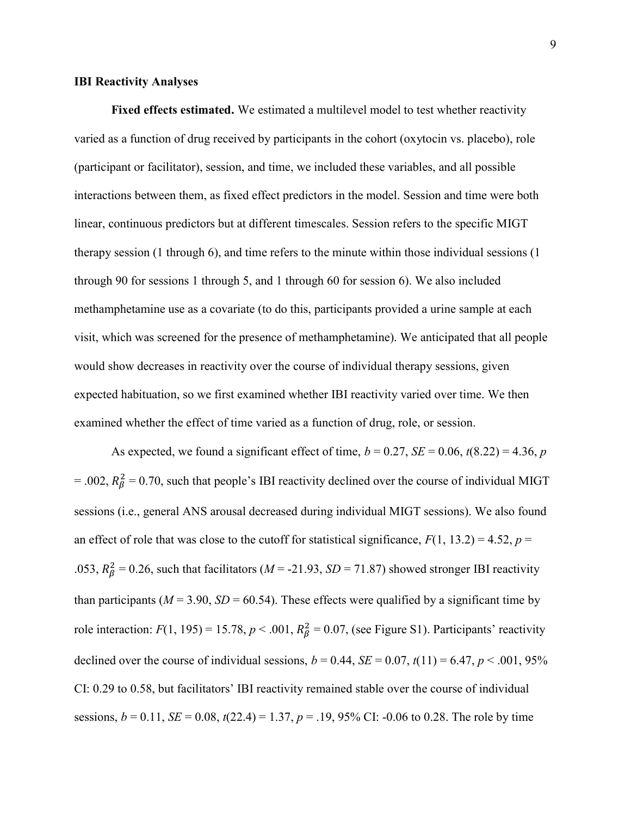#### IBI Reactivity Analyses

Fixed effects estimated. We estimated a multilevel model to test whether reactivity varied as a function of drug received by participants in the cohort (oxytocin vs. placebo), role (participant or facilitator), session, and time, we included these variables, and all possible interactions between them, as fixed effect predictors in the model. Session and time were both linear, continuous predictors but at different timescales. Session refers to the specific MIGT therapy session (1 through 6), and time refers to the minute within those individual sessions (1 through 90 for sessions 1 through 5, and 1 through 60 for session 6). We also included methamphetamine use as a covariate (to do this, participants provided a urine sample at each visit, which was screened for the presence of methamphetamine). We anticipated that all people would show decreases in reactivity over the course of individual therapy sessions, given expected habituation, so we first examined whether IBI reactivity varied over time. We then examined whether the effect of time varied as a function of drug, role, or session.

As expected, we found a significant effect of time,  $b = 0.27$ ,  $SE = 0.06$ ,  $t(8.22) = 4.36$ , p = .002,  $R_{\beta}^2$  = 0.70, such that people's IBI reactivity declined over the course of individual MIGT sessions (i.e., general ANS arousal decreased during individual MIGT sessions). We also found an effect of role that was close to the cutoff for statistical significance,  $F(1, 13.2) = 4.52$ ,  $p =$ .053,  $R_{\beta}^2 = 0.26$ , such that facilitators (*M* = -21.93, *SD* = 71.87) showed stronger IBI reactivity than participants ( $M = 3.90$ ,  $SD = 60.54$ ). These effects were qualified by a significant time by role interaction:  $F(1, 195) = 15.78$ ,  $p < .001$ ,  $R_{\beta}^2 = 0.07$ , (see Figure S1). Participants' reactivity declined over the course of individual sessions,  $b = 0.44$ ,  $SE = 0.07$ ,  $t(11) = 6.47$ ,  $p < .001$ , 95% CI: 0.29 to 0.58, but facilitators' IBI reactivity remained stable over the course of individual sessions,  $b = 0.11$ ,  $SE = 0.08$ ,  $t(22.4) = 1.37$ ,  $p = .19$ , 95% CI: -0.06 to 0.28. The role by time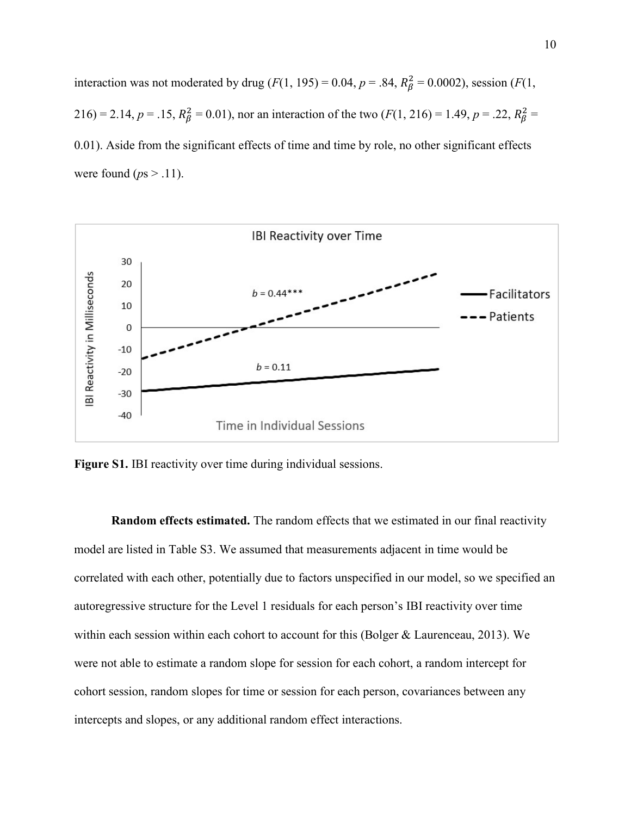interaction was not moderated by drug ( $F(1, 195) = 0.04$ ,  $p = .84$ ,  $R_{\beta}^2 = 0.0002$ ), session ( $F(1, 195) = 0.04$ ,  $p = .84$ ,  $R_{\beta}^2 = 0.0002$ ), session ( $F(1, 195) = 0.04$ ,  $p = .84$ ) 216) = 2.14,  $p = .15$ ,  $R_{\beta}^2 = 0.01$ , nor an interaction of the two ( $F(1, 216) = 1.49$ ,  $p = .22$ ,  $R_{\beta}^2 =$ 0.01). Aside from the significant effects of time and time by role, no other significant effects were found ( $ps > .11$ ).



Figure S1. IBI reactivity over time during individual sessions.

Random effects estimated. The random effects that we estimated in our final reactivity model are listed in Table S3. We assumed that measurements adjacent in time would be correlated with each other, potentially due to factors unspecified in our model, so we specified an autoregressive structure for the Level 1 residuals for each person's IBI reactivity over time within each session within each cohort to account for this (Bolger & Laurenceau, 2013). We were not able to estimate a random slope for session for each cohort, a random intercept for cohort session, random slopes for time or session for each person, covariances between any intercepts and slopes, or any additional random effect interactions.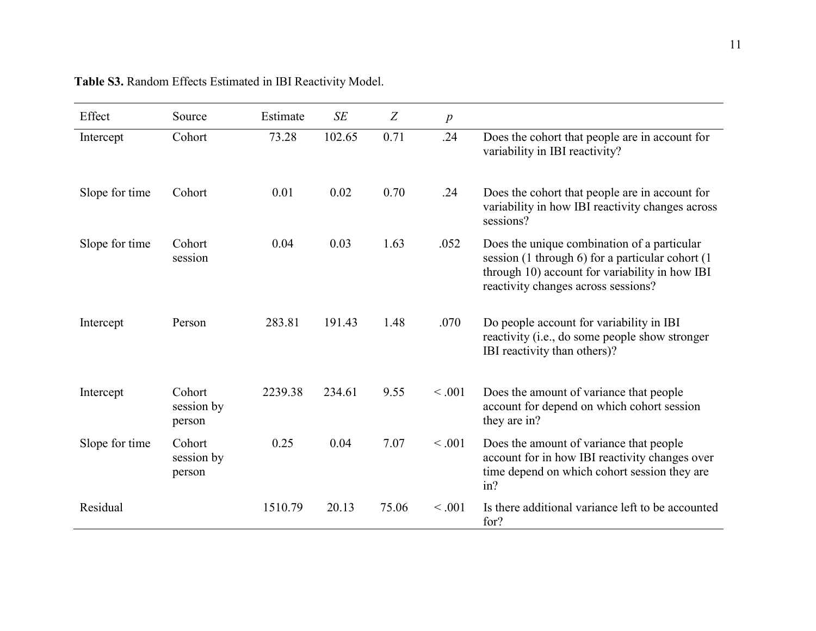| Effect         | Source                         | Estimate | SE     | Z     | $\boldsymbol{p}$ |                                                                                                                                                                                          |
|----------------|--------------------------------|----------|--------|-------|------------------|------------------------------------------------------------------------------------------------------------------------------------------------------------------------------------------|
| Intercept      | Cohort                         | 73.28    | 102.65 | 0.71  | .24              | Does the cohort that people are in account for<br>variability in IBI reactivity?                                                                                                         |
| Slope for time | Cohort                         | 0.01     | 0.02   | 0.70  | .24              | Does the cohort that people are in account for<br>variability in how IBI reactivity changes across<br>sessions?                                                                          |
| Slope for time | Cohort<br>session              | 0.04     | 0.03   | 1.63  | .052             | Does the unique combination of a particular<br>session (1 through 6) for a particular cohort (1<br>through 10) account for variability in how IBI<br>reactivity changes across sessions? |
| Intercept      | Person                         | 283.81   | 191.43 | 1.48  | .070             | Do people account for variability in IBI<br>reactivity (i.e., do some people show stronger<br>IBI reactivity than others)?                                                               |
| Intercept      | Cohort<br>session by<br>person | 2239.38  | 234.61 | 9.55  | < .001           | Does the amount of variance that people<br>account for depend on which cohort session<br>they are in?                                                                                    |
| Slope for time | Cohort<br>session by<br>person | 0.25     | 0.04   | 7.07  | < .001           | Does the amount of variance that people<br>account for in how IBI reactivity changes over<br>time depend on which cohort session they are<br>in?                                         |
| Residual       |                                | 1510.79  | 20.13  | 75.06 | < .001           | Is there additional variance left to be accounted<br>for?                                                                                                                                |

|  |  |  | Table S3. Random Effects Estimated in IBI Reactivity Model. |  |
|--|--|--|-------------------------------------------------------------|--|
|  |  |  |                                                             |  |